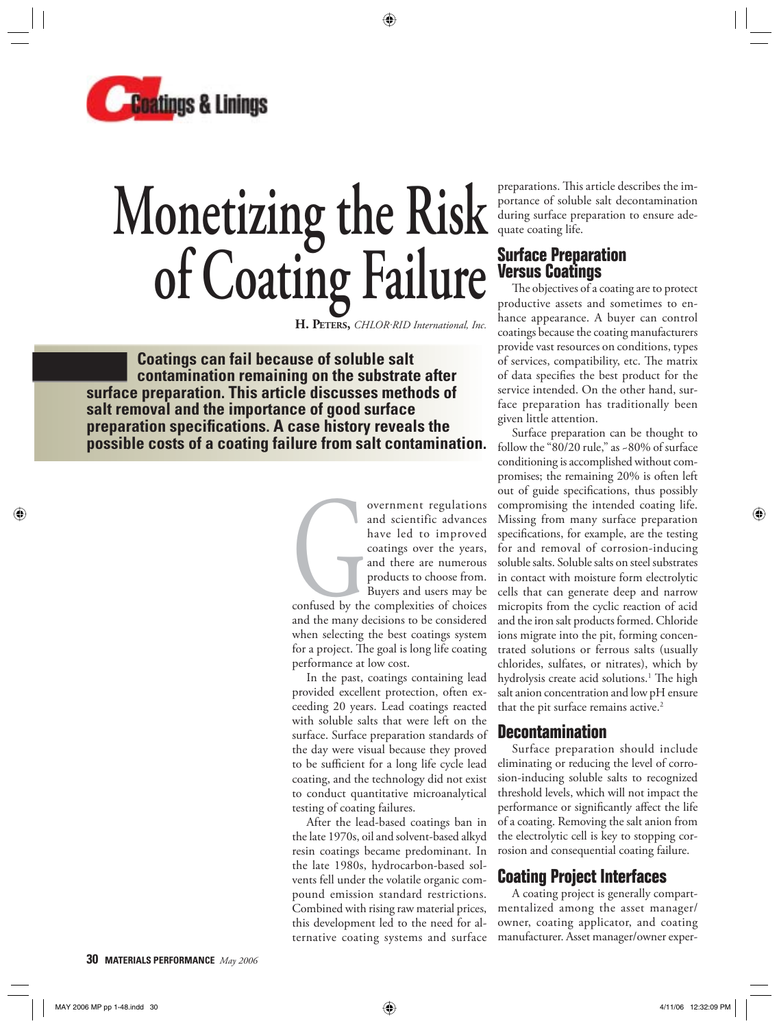

# **Monetizing the Risk of Coating Failure**

H. PETERS, CHLOR·RID International, Inc.

 **Coatings can fail because of soluble salt contamination remaining on the substrate after surface preparation. This article discusses methods of salt removal and the importance of good surface preparation specifi cations. A case history reveals the possible costs of a coating failure from salt contamination.**

> overnment regulations<br>
> and scientific advances<br>
> have led to improved<br>
> coatings over the years,<br>
> and there are numerous<br>
> products to choose from.<br>
> Buyers and users may be<br>
> confused by the complexities of choices<br>
> and the ma and scientific advances have led to improved coatings over the years, and there are numerous products to choose from. Buyers and users may be

> and the many decisions to be considered when selecting the best coatings system for a project. The goal is long life coating performance at low cost.

> In the past, coatings containing lead provided excellent protection, often exceeding 20 years. Lead coatings reacted with soluble salts that were left on the surface. Surface preparation standards of the day were visual because they proved to be sufficient for a long life cycle lead coating, and the technology did not exist to conduct quantitative microanalytical testing of coating failures.

> After the lead-based coatings ban in the late 1970s, oil and solvent-based alkyd resin coatings became predominant. In the late 1980s, hydrocarbon-based solvents fell under the volatile organic compound emission standard restrictions. Combined with rising raw material prices, this development led to the need for alternative coating systems and surface

preparations. This article describes the importance of soluble salt decontamination during surface preparation to ensure adequate coating life.

## **Surface Preparation Versus Coatings**

The objectives of a coating are to protect productive assets and sometimes to enhance appearance. A buyer can control coatings because the coating manufacturers provide vast resources on conditions, types of services, compatibility, etc. The matrix of data specifies the best product for the service intended. On the other hand, surface preparation has traditionally been given little attention.

Surface preparation can be thought to follow the "80/20 rule," as ~80% of surface conditioning is accomplished without compromises; the remaining 20% is often left out of guide specifications, thus possibly compromising the intended coating life. Missing from many surface preparation specifications, for example, are the testing for and removal of corrosion-inducing soluble salts. Soluble salts on steel substrates in contact with moisture form electrolytic cells that can generate deep and narrow micropits from the cyclic reaction of acid and the iron salt products formed. Chloride ions migrate into the pit, forming concentrated solutions or ferrous salts (usually chlorides, sulfates, or nitrates), which by hydrolysis create acid solutions.<sup>1</sup> The high salt anion concentration and low pH ensure that the pit surface remains active.<sup>2</sup>

#### **Decontamination**

Surface preparation should include eliminating or reducing the level of corrosion-inducing soluble salts to recognized threshold levels, which will not impact the performance or significantly affect the life of a coating. Removing the salt anion from the electrolytic cell is key to stopping corrosion and consequential coating failure.

# **Coating Project Interfaces**

A coating project is generally compartmentalized among the asset manager/ owner, coating applicator, and coating manufacturer. Asset manager/owner exper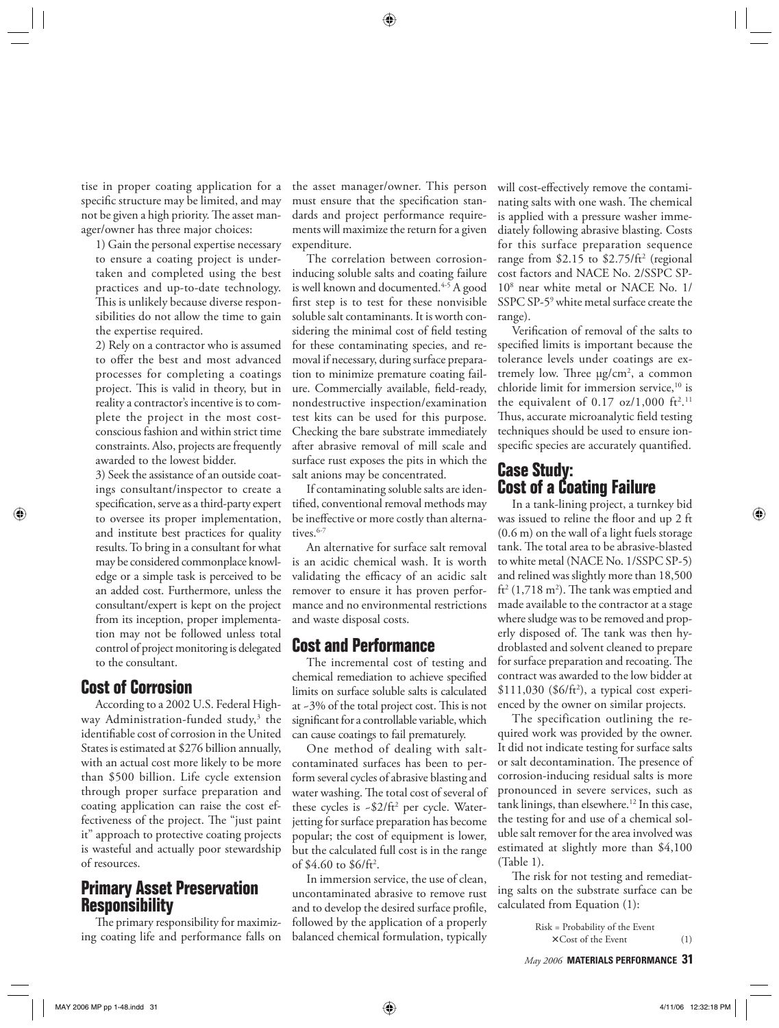tise in proper coating application for a specific structure may be limited, and may not be given a high priority. The asset manager/owner has three major choices:

1) Gain the personal expertise necessary to ensure a coating project is undertaken and completed using the best practices and up-to-date technology. This is unlikely because diverse responsibilities do not allow the time to gain the expertise required.

2) Rely on a contractor who is assumed to offer the best and most advanced processes for completing a coatings project. This is valid in theory, but in reality a contractor's incentive is to complete the project in the most costconscious fashion and within strict time constraints. Also, projects are frequently awarded to the lowest bidder.

3) Seek the assistance of an outside coatings consultant/inspector to create a specification, serve as a third-party expert to oversee its proper implementation, and institute best practices for quality results. To bring in a consultant for what may be considered commonplace knowledge or a simple task is perceived to be an added cost. Furthermore, unless the consultant/expert is kept on the project from its inception, proper implementation may not be followed unless total control of project monitoring is delegated to the consultant.

#### **Cost of Corrosion**

According to a 2002 U.S. Federal Highway Administration-funded study,<sup>3</sup> the identifiable cost of corrosion in the United States is estimated at \$276 billion annually, with an actual cost more likely to be more than \$500 billion. Life cycle extension through proper surface preparation and coating application can raise the cost effectiveness of the project. The "just paint" it" approach to protective coating projects is wasteful and actually poor stewardship of resources.

## **Primary Asset Preservation Responsibility**

The primary responsibility for maximizing coating life and performance falls on the asset manager/owner. This person must ensure that the specification standards and project performance requirements will maximize the return for a given expenditure.

The correlation between corrosioninducing soluble salts and coating failure is well known and documented.<sup>4-5</sup> A good first step is to test for these nonvisible soluble salt contaminants. It is worth considering the minimal cost of field testing for these contaminating species, and removal if necessary, during surface preparation to minimize premature coating failure. Commercially available, field-ready, nondestructive inspection/examination test kits can be used for this purpose. Checking the bare substrate immediately after abrasive removal of mill scale and surface rust exposes the pits in which the salt anions may be concentrated.

If contaminating soluble salts are identified, conventional removal methods may be ineffective or more costly than alternatives.<sup>6-7</sup>

An alternative for surface salt removal is an acidic chemical wash. It is worth validating the efficacy of an acidic salt remover to ensure it has proven performance and no environmental restrictions and waste disposal costs.

## **Cost and Performance**

The incremental cost of testing and chemical remediation to achieve specified limits on surface soluble salts is calculated at  $-3\%$  of the total project cost. This is not significant for a controllable variable, which can cause coatings to fail prematurely.

One method of dealing with saltcontaminated surfaces has been to perform several cycles of abrasive blasting and water washing. The total cost of several of these cycles is ~\$2/ft<sup>2</sup> per cycle. Waterjetting for surface preparation has become popular; the cost of equipment is lower, but the calculated full cost is in the range of \$4.60 to \$6/ft<sup>2</sup>.

In immersion service, the use of clean, uncontaminated abrasive to remove rust and to develop the desired surface profile, followed by the application of a properly balanced chemical formulation, typically will cost-effectively remove the contaminating salts with one wash. The chemical is applied with a pressure washer immediately following abrasive blasting. Costs for this surface preparation sequence range from \$2.15 to \$2.75/ft<sup>2</sup> (regional cost factors and NACE No. 2/SSPC SP-108 near white metal or NACE No. 1/ SSPC SP-59 white metal surface create the range).

Verification of removal of the salts to specified limits is important because the tolerance levels under coatings are extremely low. Three  $\mu$ g/cm<sup>2</sup>, a common chloride limit for immersion service,<sup>10</sup> is the equivalent of  $0.17$  oz/1,000 ft<sup>2</sup>.<sup>11</sup> Thus, accurate microanalytic field testing techniques should be used to ensure ionspecific species are accurately quantified.

### **Case Study: Cost of a Coating Failure**

In a tank-lining project, a turnkey bid was issued to reline the floor and up 2 ft (0.6 m) on the wall of a light fuels storage tank. The total area to be abrasive-blasted to white metal (NACE No. 1/SSPC SP-5) and relined was slightly more than 18,500  $\text{ft}^2 \left( 1,718 \text{ m}^2 \right)$ . The tank was emptied and made available to the contractor at a stage where sludge was to be removed and properly disposed of. The tank was then hydroblasted and solvent cleaned to prepare for surface preparation and recoating. The contract was awarded to the low bidder at  $$111,030$  (\$6/ft<sup>2</sup>), a typical cost experienced by the owner on similar projects.

The specification outlining the required work was provided by the owner. It did not indicate testing for surface salts or salt decontamination. The presence of corrosion-inducing residual salts is more pronounced in severe services, such as tank linings, than elsewhere.<sup>12</sup> In this case, the testing for and use of a chemical soluble salt remover for the area involved was estimated at slightly more than \$4,100 (Table 1).

The risk for not testing and remediating salts on the substrate surface can be calculated from Equation (1):

> Risk = Probability of the Event  $\times$  Cost of the Event (1)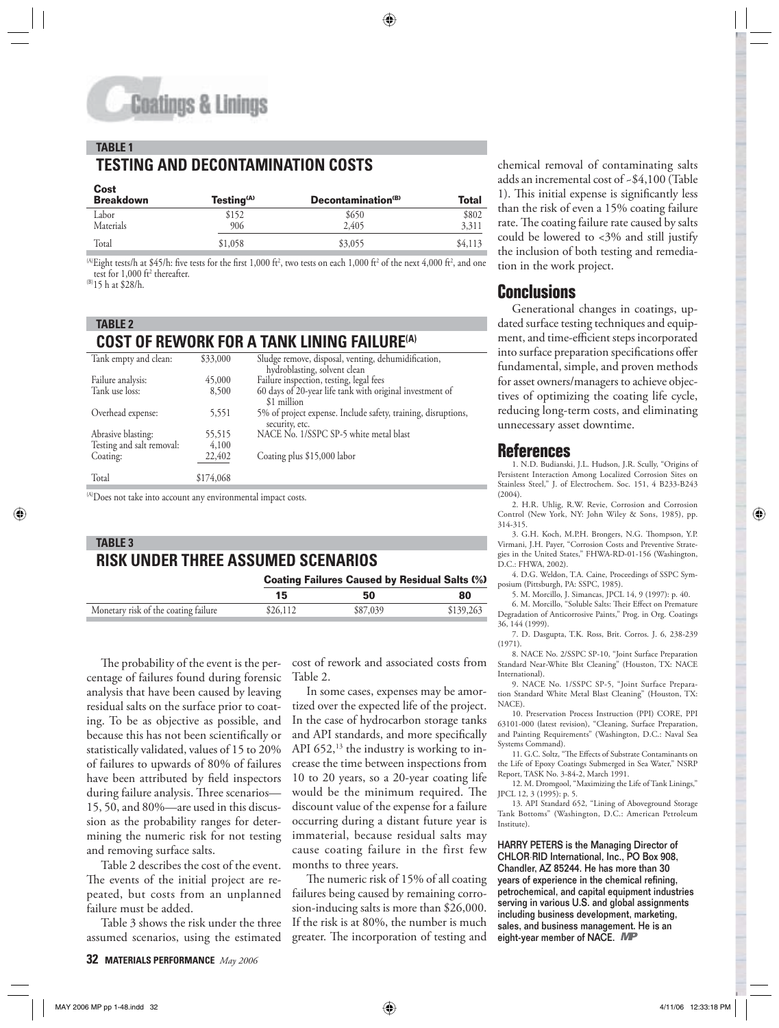#### **TABLE 1 TESTING AND DECONTAMINATION COSTS**

| Cost<br><b>Breakdown</b> | Testing <sup>(A)</sup> | Decontamination <sup>(B)</sup> | Total          |  |
|--------------------------|------------------------|--------------------------------|----------------|--|
| Labor<br>Materials       | \$152<br>906           | \$650<br>2,405                 | \$802<br>3,311 |  |
| Total                    | \$1,058                | \$3,055                        | \$4,113        |  |
|                          |                        |                                |                |  |

<sup>(A)</sup>Eight tests/h at \$45/h: five tests for the first 1,000 ft<sup>2</sup>, two tests on each 1,000 ft<sup>2</sup> of the next 4,000 ft<sup>2</sup>, and one test for 1,000 ft<sup>2</sup> thereafter.

(B)15 h at \$28/h.

#### **TABLE 2**

## **COST OF REWORK FOR A TANK LINING FAILURE(A)**

| Tank empty and clean:     | \$33,000  | Sludge remove, disposal, venting, dehumidification,           |
|---------------------------|-----------|---------------------------------------------------------------|
|                           |           | hydroblasting, solvent clean                                  |
| Failure analysis:         | 45,000    | Failure inspection, testing, legal fees                       |
| Tank use loss:            | 8,500     | 60 days of 20-year life tank with original investment of      |
|                           |           | \$1 million                                                   |
| Overhead expense:         | 5,551     | 5% of project expense. Include safety, training, disruptions, |
|                           |           | security, etc.                                                |
| Abrasive blasting:        | 55,515    | NACE No. 1/SSPC SP-5 white metal blast                        |
| Testing and salt removal: | 4,100     |                                                               |
| Coating:                  | 22,402    | Coating plus \$15,000 labor                                   |
|                           |           |                                                               |
| Total                     | \$174,068 |                                                               |
|                           |           |                                                               |

(A)Does not take into account any environmental impact costs.

# **TABLE 3 RISK UNDER THREE ASSUMED SCENARIOS**

**Coating Failures Caused by Residual Salts (%)**

|                                      | 15       | 50       | 80        |
|--------------------------------------|----------|----------|-----------|
| Monetary risk of the coating failure | \$26,112 | \$87,039 | \$139,263 |
|                                      |          |          |           |

The probability of the event is the percentage of failures found during forensic analysis that have been caused by leaving residual salts on the surface prior to coating. To be as objective as possible, and because this has not been scientifically or statistically validated, values of 15 to 20% of failures to upwards of 80% of failures have been attributed by field inspectors during failure analysis. Three scenarios-15, 50, and 80%—are used in this discussion as the probability ranges for determining the numeric risk for not testing and removing surface salts.

Table 2 describes the cost of the event. The events of the initial project are repeated, but costs from an unplanned failure must be added.

Table 3 shows the risk under the three assumed scenarios, using the estimated cost of rework and associated costs from Table 2.

In some cases, expenses may be amortized over the expected life of the project. In the case of hydrocarbon storage tanks and API standards, and more specifically API  $652$ ,<sup>13</sup> the industry is working to increase the time between inspections from 10 to 20 years, so a 20-year coating life would be the minimum required. The discount value of the expense for a failure occurring during a distant future year is immaterial, because residual salts may cause coating failure in the first few months to three years.

The numeric risk of 15% of all coating failures being caused by remaining corrosion-inducing salts is more than \$26,000. If the risk is at 80%, the number is much greater. The incorporation of testing and

chemical removal of contaminating salts adds an incremental cost of ~\$4,100 (Table 1). This initial expense is significantly less than the risk of even a 15% coating failure rate. The coating failure rate caused by salts could be lowered to <3% and still justify the inclusion of both testing and remediation in the work project.

# **Conclusions**

Generational changes in coatings, updated surface testing techniques and equipment, and time-efficient steps incorporated into surface preparation specifications offer fundamental, simple, and proven methods for asset owners/managers to achieve objectives of optimizing the coating life cycle, reducing long-term costs, and eliminating unnecessary asset downtime.

#### **References**

1. N.D. Budianski, J.L. Hudson, J.R. Scully, "Origins of Persistent Interaction Among Localized Corrosion Sites on Stainless Steel," J. of Electrochem. Soc. 151, 4 B233-B243  $(2004)$ 

2. H.R. Uhlig, R.W. Revie, Corrosion and Corrosion Control (New York, NY: John Wiley & Sons, 1985), pp. 314-315.

3. G.H. Koch, M.P.H. Brongers, N.G. Thompson, Y.P. Virmani, J.H. Payer, "Corrosion Costs and Preventive Strategies in the United States," FHWA-RD-01-156 (Washington, D.C.: FHWA, 2002).

4. D.G. Weldon, T.A. Caine, Proceedings of SSPC Symposium (Pittsburgh, PA: SSPC, 1985).

5. M. Morcillo, J. Simancas, JPCL 14, 9 (1997): p. 40.

6. M. Morcillo, "Soluble Salts: Their Effect on Premature Degradation of Anticorrosive Paints," Prog. in Org. Coatings 36, 144 (1999).

7. D. Dasgupta, T.K. Ross, Brit. Corros. J. 6, 238-239 (1971).

8. NACE No. 2/SSPC SP-10, "Joint Surface Preparation Standard Near-White Blst Cleaning" (Houston, TX: NACE International).

9. NACE No. 1/SSPC SP-5, "Joint Surface Preparation Standard White Metal Blast Cleaning" (Houston, TX: NACE).

10. Preservation Process Instruction (PPI) CORE, PPI 63101-000 (latest revision), "Cleaning, Surface Preparation, and Painting Requirements" (Washington, D.C.: Naval Sea Systems Command).

11. G.C. Soltz, "The Effects of Substrate Contaminants on the Life of Epoxy Coatings Submerged in Sea Water," NSRP Report, TASK No. 3-84-2, March 1991.

12. M. Dromgool, "Maximizing the Life of Tank Linings," JPCL 12, 3 (1995): p. 5.

13. API Standard 652, "Lining of Aboveground Storage Tank Bottoms" (Washington, D.C.: American Petroleum Institute).

HARRY PETERS is the Managing Director of CHLOR·RID International, Inc., PO Box 908, Chandler, AZ 85244. He has more than 30 years of experience in the chemical refining, petrochemical, and capital equipment industries serving in various U.S. and global assignments including business development, marketing, sales, and business management. He is an eight-year member of NACE. MP